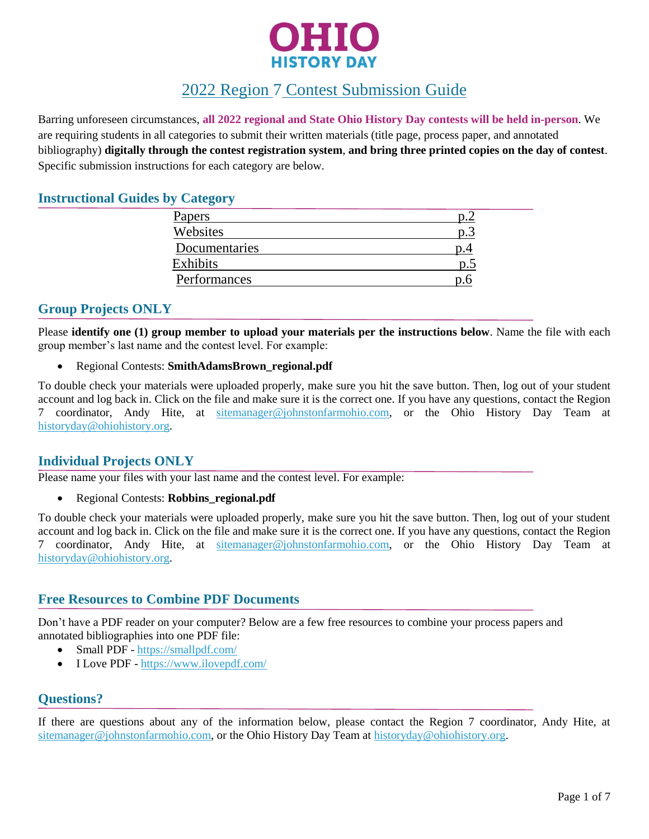

# 2022 Region 7 Contest Submission Guide

Barring unforeseen circumstances, **all 2022 regional and State Ohio History Day contests will be held in-person**. We are requiring students in all categories to submit their written materials (title page, process paper, and annotated bibliography) **digitally through the contest registration system**, **and bring three printed copies on the day of contest**. Specific submission instructions for each category are below.

## **Instructional Guides by Category**

| Papers        |                  |
|---------------|------------------|
| Websites      |                  |
| Documentaries |                  |
| Exhibits      | $\mathfrak{v}$ . |
| Performances  |                  |

# **Group Projects ONLY**

Please **identify one (1) group member to upload your materials per the instructions below**. Name the file with each group member's last name and the contest level. For example:

Regional Contests: **SmithAdamsBrown\_regional.pdf**

To double check your materials were uploaded properly, make sure you hit the save button. Then, log out of your student account and log back in. Click on the file and make sure it is the correct one. If you have any questions, contact the Region 7 coordinator, Andy Hite, at [sitemanager@johnstonfarmohio.com,](mailto:sitemanager@johnstonfarmohio.com) or the Ohio History Day Team at [historyday@ohiohistory.org.](mailto:historyday@ohiohistory.org)

# **Individual Projects ONLY**

Please name your files with your last name and the contest level. For example:

Regional Contests: **Robbins\_regional.pdf**

To double check your materials were uploaded properly, make sure you hit the save button. Then, log out of your student account and log back in. Click on the file and make sure it is the correct one. If you have any questions, contact the Region 7 coordinator, Andy Hite, at [sitemanager@johnstonfarmohio.com,](mailto:sitemanager@johnstonfarmohio.com) or the Ohio History Day Team at [historyday@ohiohistory.org.](mailto:historyday@ohiohistory.org)

## **Free Resources to Combine PDF Documents**

Don't have a PDF reader on your computer? Below are a few free resources to combine your process papers and annotated bibliographies into one PDF file:

- Small PDF https://smallpdf.com/
- I Love PDF <https://www.ilovepdf.com/>

## **Questions?**

If there are questions about any of the information below, please contact the Region 7 coordinator, Andy Hite, at [sitemanager@johnstonfarmohio.com,](mailto:sitemanager@johnstonfarmohio.com) or the Ohio History Day Team at [historyday@ohiohistory.org.](mailto:historyday@ohiohistory.org)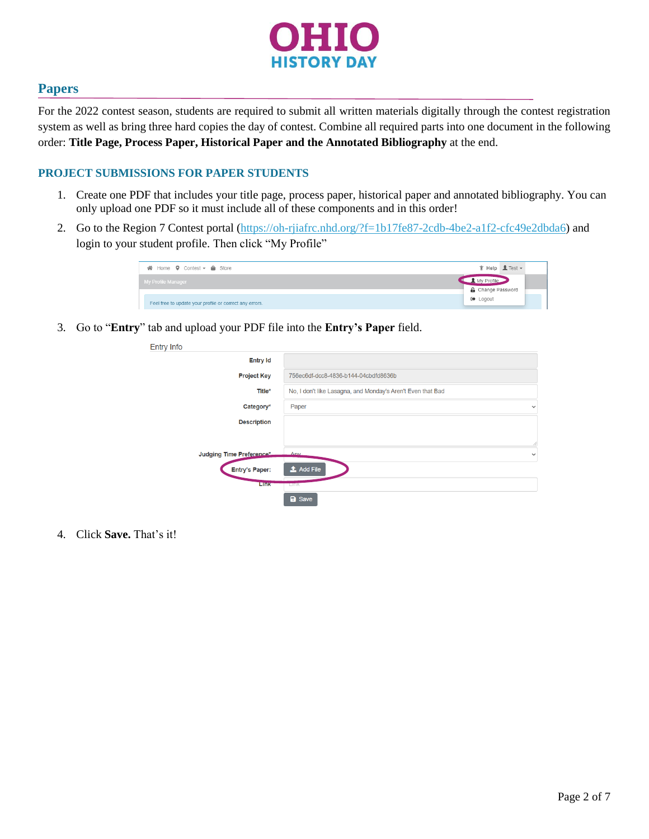

## **Papers**

For the 2022 contest season, students are required to submit all written materials digitally through the contest registration system as well as bring three hard copies the day of contest. Combine all required parts into one document in the following order: **Title Page, Process Paper, Historical Paper and the Annotated Bibliography** at the end.

#### **PROJECT SUBMISSIONS FOR PAPER STUDENTS**

- 1. Create one PDF that includes your title page, process paper, historical paper and annotated bibliography. You can only upload one PDF so it must include all of these components and in this order!
- 2. Go to the Region 7 Contest portal [\(https://oh-rjiafrc.nhd.org/?f=1b17fe87-2cdb-4be2-a1f2-cfc49e2dbda6\)](https://oh-rjiafrc.nhd.org/?f=1b17fe87-2cdb-4be2-a1f2-cfc49e2dbda6) and login to your student profile. Then click "My Profile"

| $\mathbf{\hat{R}}$ Home $\mathbf{\hat{Q}}$ Contest $\mathbf{\hat{r}}$ as Store |                                        | $\mathbf{\hat{V}}$ Help $\mathbf{\underline{P}}$ Test $\mathbf{\hat{V}}$ |  |
|--------------------------------------------------------------------------------|----------------------------------------|--------------------------------------------------------------------------|--|
| My Profile Manager                                                             | My Profile<br><b>G</b> Change Password |                                                                          |  |
| Feel free to update your profile or correct any errors.                        | <b>C</b> Logout                        |                                                                          |  |

3. Go to "**Entry**" tab and upload your PDF file into the **Entry's Paper** field.

| <b>Entry Info</b>        |                                                             |
|--------------------------|-------------------------------------------------------------|
| <b>Entry Id</b>          |                                                             |
| <b>Project Key</b>       | 756ec6df-dcc8-4836-b144-04cbdfd8636b                        |
| Title*                   | No, I don't like Lasagna, and Monday's Aren't Even that Bad |
| Category*                | Paper<br>↘                                                  |
| <b>Description</b>       |                                                             |
|                          |                                                             |
| Judging Time Preference* | Any<br>↘                                                    |
| <b>Entry's Paper:</b>    | $\frac{1}{2}$ Add File                                      |
| <b>Link</b>              | <b>LITIK</b>                                                |
|                          | <b>a</b> Save                                               |

4. Click **Save.** That's it!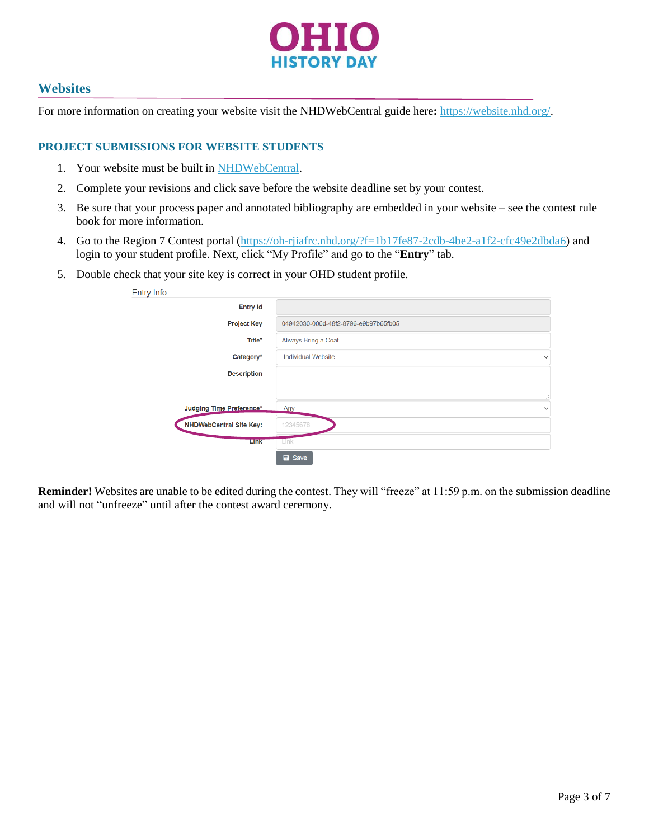

## **Websites**

For more information on creating your website visit the NHDWebCentral guide here**:** [https://website.nhd.org/.](https://website.nhd.org/)

#### **PROJECT SUBMISSIONS FOR WEBSITE STUDENTS**

- 1. Your website must be built in [NHDWebCentral.](https://website.nhd.org/)
- 2. Complete your revisions and click save before the website deadline set by your contest.
- 3. Be sure that your process paper and annotated bibliography are embedded in your website see the contest rule book for more information.
- 4. Go to the Region 7 Contest portal [\(https://oh-rjiafrc.nhd.org/?f=1b17fe87-2cdb-4be2-a1f2-cfc49e2dbda6\)](https://oh-rjiafrc.nhd.org/?f=1b17fe87-2cdb-4be2-a1f2-cfc49e2dbda6) and login to your student profile. Next, click "My Profile" and go to the "**Entry**" tab.
- 5. Double check that your site key is correct in your OHD student profile.

| <b>Entry Info</b>              |                                           |
|--------------------------------|-------------------------------------------|
| <b>Entry Id</b>                |                                           |
| <b>Project Key</b>             | 04942030-006d-48f2-8796-e9b97b65fb05      |
| Title*                         | Always Bring a Coat                       |
| Category*                      | <b>Individual Website</b><br>$\checkmark$ |
| <b>Description</b>             |                                           |
|                                | Ż                                         |
| Judging Time Preference*       | Any<br>$\check{ }$                        |
| <b>NHDWebCentral Site Key:</b> | 12345678                                  |
| Link                           | Link                                      |
|                                | <b>a</b> Save                             |

**Reminder!** Websites are unable to be edited during the contest. They will "freeze" at 11:59 p.m. on the submission deadline and will not "unfreeze" until after the contest award ceremony.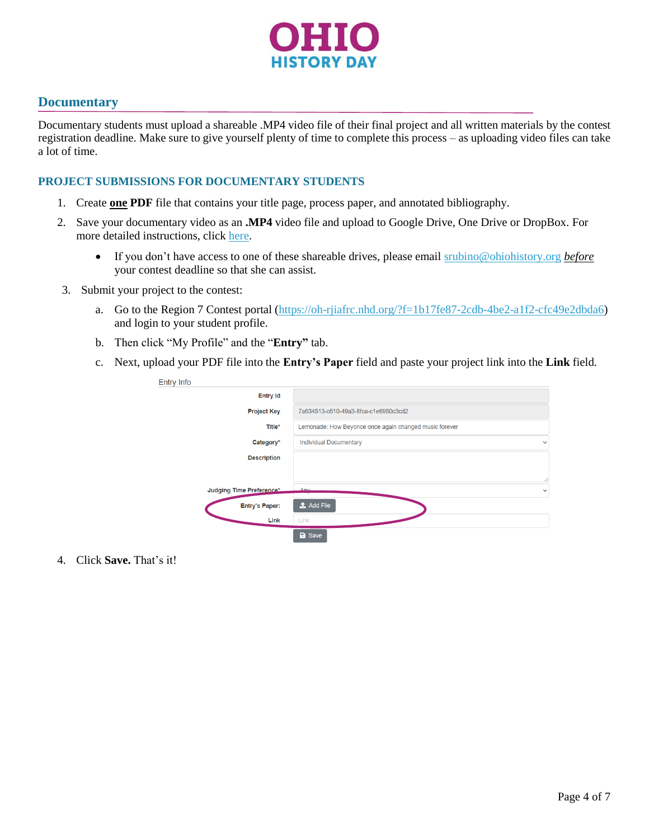

## **Documentary**

Documentary students must upload a shareable .MP4 video file of their final project and all written materials by the contest registration deadline. Make sure to give yourself plenty of time to complete this process – as uploading video files can take a lot of time.

#### **PROJECT SUBMISSIONS FOR DOCUMENTARY STUDENTS**

- 1. Create **one PDF** file that contains your title page, process paper, and annotated bibliography.
- 2. Save your documentary video as an **.MP4** video file and upload to Google Drive, One Drive or DropBox. For more detailed instructions, click [here.](https://drive.google.com/file/d/1weQPlcRcnB4Tlt7EkgzFNo3N00qPCeRW/view?usp=sharing)
	- If you don't have access to one of these shareable drives, please email [srubino@ohiohistory.org](mailto:srubino@ohiohistory.org) *before* your contest deadline so that she can assist.
- 3. Submit your project to the contest:
	- a. Go to the Region 7 Contest portal [\(https://oh-rjiafrc.nhd.org/?f=1b17fe87-2cdb-4be2-a1f2-cfc49e2dbda6\)](https://oh-rjiafrc.nhd.org/?f=1b17fe87-2cdb-4be2-a1f2-cfc49e2dbda6) and login to your student profile.
	- b. Then click "My Profile" and the "**Entry"** tab.
	- c. Next, upload your PDF file into the **Entry's Paper** field and paste your project link into the **Link** field.

| <b>Entry Info</b>        |                                                        |              |
|--------------------------|--------------------------------------------------------|--------------|
| <b>Entry Id</b>          |                                                        |              |
| <b>Project Key</b>       | 7a634513-c610-49a3-8fca-c1e6950c3cd2                   |              |
| Title*                   | Lemonade: How Beyonce once again changed music forever |              |
| Category*                | <b>Individual Documentary</b>                          | $\checkmark$ |
| <b>Description</b>       |                                                        |              |
|                          |                                                        | Î.           |
| Judging Time Preference* | Any                                                    | $\checkmark$ |
| <b>Entry's Paper:</b>    | $\bullet$ Add File                                     |              |
| Link                     | Link                                                   |              |
|                          | <b>a</b> Save                                          |              |

4. Click **Save.** That's it!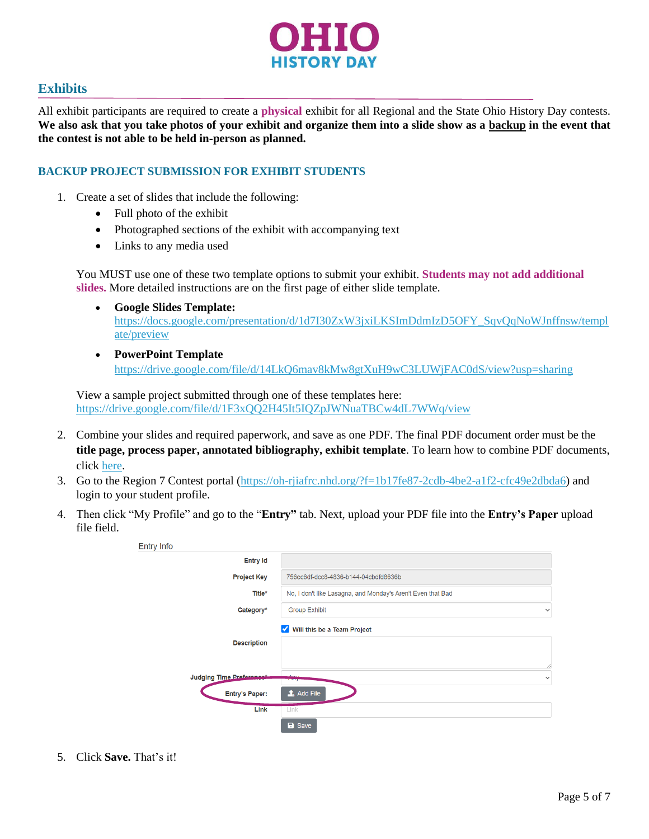

# **Exhibits**

All exhibit participants are required to create a **physical** exhibit for all Regional and the State Ohio History Day contests. **We also ask that you take photos of your exhibit and organize them into a slide show as a backup in the event that the contest is not able to be held in-person as planned.** 

## **BACKUP PROJECT SUBMISSION FOR EXHIBIT STUDENTS**

- 1. Create a set of slides that include the following:
	- Full photo of the exhibit
	- Photographed sections of the exhibit with accompanying text
	- Links to any media used

You MUST use one of these two template options to submit your exhibit. **Students may not add additional slides.** More detailed instructions are on the first page of either slide template.

- **Google Slides Template:**  [https://docs.google.com/presentation/d/1d7I30ZxW3jxiLKSImDdmIzD5OFY\\_SqvQqNoWJnffnsw/templ](https://docs.google.com/presentation/d/1d7I30ZxW3jxiLKSImDdmIzD5OFY_SqvQqNoWJnffnsw/template/preview) [ate/preview](https://docs.google.com/presentation/d/1d7I30ZxW3jxiLKSImDdmIzD5OFY_SqvQqNoWJnffnsw/template/preview)
- **PowerPoint Template** <https://drive.google.com/file/d/14LkQ6mav8kMw8gtXuH9wC3LUWjFAC0dS/view?usp=sharing>

View a sample project submitted through one of these templates here: <https://drive.google.com/file/d/1F3xQQ2H45It5IQZpJWNuaTBCw4dL7WWq/view>

- 2. Combine your slides and required paperwork, and save as one PDF. The final PDF document order must be the **title page, process paper, annotated bibliography, exhibit template**. To learn how to combine PDF documents, click [here.](https://www.youtube.com/watch?v=VunwovyV0dI&feature=youtu.be)
- 3. Go to the Region 7 Contest portal [\(https://oh-rjiafrc.nhd.org/?f=1b17fe87-2cdb-4be2-a1f2-cfc49e2dbda6\)](https://oh-rjiafrc.nhd.org/?f=1b17fe87-2cdb-4be2-a1f2-cfc49e2dbda6) and login to your student profile.
- 4. Then click "My Profile" and go to the "**Entry"** tab. Next, upload your PDF file into the **Entry's Paper** upload file field.

| <b>Entry Info</b>               |                                                             |              |
|---------------------------------|-------------------------------------------------------------|--------------|
| <b>Entry Id</b>                 |                                                             |              |
| <b>Project Key</b>              | 756ec6df-dcc8-4836-b144-04cbdfd8636b                        |              |
| Title*                          | No, I don't like Lasagna, and Monday's Aren't Even that Bad |              |
| Category*                       | <b>Group Exhibit</b>                                        | $\checkmark$ |
|                                 | Will this be a Team Project<br>$\blacktriangledown$         |              |
| <b>Description</b>              |                                                             |              |
|                                 |                                                             | 11           |
| <b>Judging Time Preference:</b> |                                                             | $\check{ }$  |
| <b>Entry's Paper:</b>           | $\triangle$ Add File                                        |              |
| Link                            | Link                                                        |              |
|                                 | <b>a</b> Save                                               |              |

5. Click **Save.** That's it!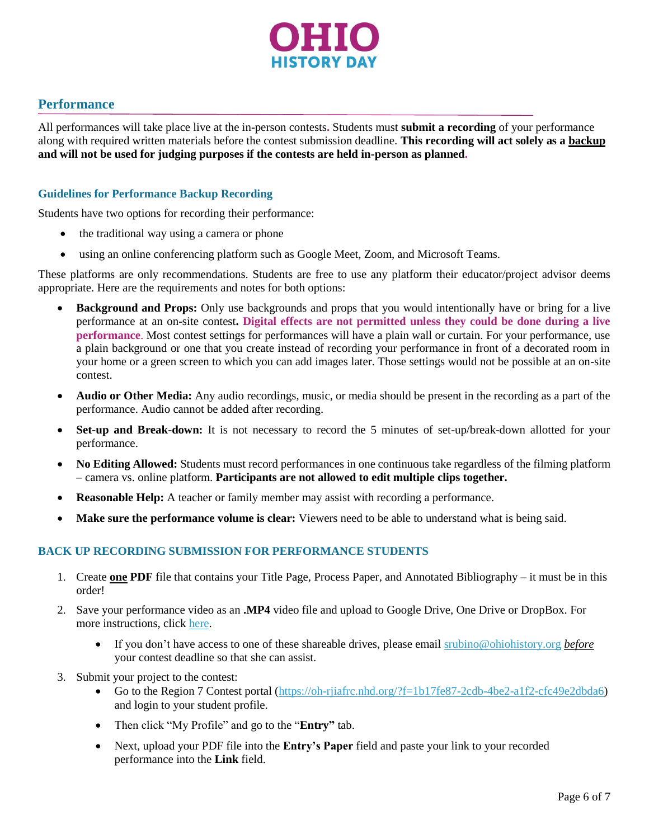

## **Performance**

All performances will take place live at the in-person contests**.** Students must **submit a recording** of your performance along with required written materials before the contest submission deadline. **This recording will act solely as a backup and will not be used for judging purposes if the contests are held in-person as planned.**

#### **Guidelines for Performance Backup Recording**

Students have two options for recording their performance:

- the traditional way using a camera or phone
- using an online conferencing platform such as Google Meet, Zoom, and Microsoft Teams.

These platforms are only recommendations. Students are free to use any platform their educator/project advisor deems appropriate. Here are the requirements and notes for both options:

- **Background and Props:** Only use backgrounds and props that you would intentionally have or bring for a live performance at an on-site contest**. Digital effects are not permitted unless they could be done during a live performance**. Most contest settings for performances will have a plain wall or curtain. For your performance, use a plain background or one that you create instead of recording your performance in front of a decorated room in your home or a green screen to which you can add images later. Those settings would not be possible at an on-site contest.
- **Audio or Other Media:** Any audio recordings, music, or media should be present in the recording as a part of the performance. Audio cannot be added after recording.
- **Set-up and Break-down:** It is not necessary to record the 5 minutes of set-up/break-down allotted for your performance.
- **No Editing Allowed:** Students must record performances in one continuous take regardless of the filming platform – camera vs. online platform. **Participants are not allowed to edit multiple clips together.**
- **Reasonable Help:** A teacher or family member may assist with recording a performance.
- **Make sure the performance volume is clear:** Viewers need to be able to understand what is being said.

#### **BACK UP RECORDING SUBMISSION FOR PERFORMANCE STUDENTS**

- 1. Create **one PDF** file that contains your Title Page, Process Paper, and Annotated Bibliography it must be in this order!
- 2. Save your performance video as an **.MP4** video file and upload to Google Drive, One Drive or DropBox. For more instructions, click [here.](https://drive.google.com/file/d/1weQPlcRcnB4Tlt7EkgzFNo3N00qPCeRW/view?usp=sharing)
	- If you don't have access to one of these shareable drives, please email [srubino@ohiohistory.org](mailto:srubino@ohiohistory.org) *before* your contest deadline so that she can assist.
- 3. Submit your project to the contest:
	- Go to the Region 7 Contest portal [\(https://oh-rjiafrc.nhd.org/?f=1b17fe87-2cdb-4be2-a1f2-cfc49e2dbda6\)](https://oh-rjiafrc.nhd.org/?f=1b17fe87-2cdb-4be2-a1f2-cfc49e2dbda6) and login to your student profile.
	- Then click "My Profile" and go to the "**Entry"** tab.
	- Next, upload your PDF file into the **Entry's Paper** field and paste your link to your recorded performance into the **Link** field.